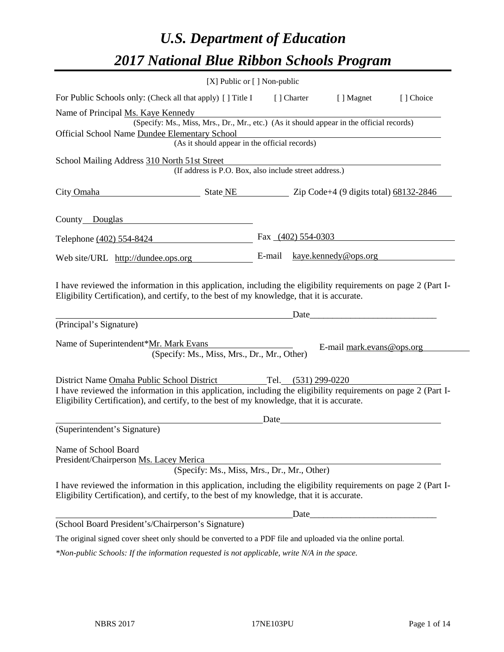# *U.S. Department of Education 2017 National Blue Ribbon Schools Program*

|                                                                                                                                                                                                              | $[X]$ Public or $[ \ ]$ Non-public |                       |                             |           |
|--------------------------------------------------------------------------------------------------------------------------------------------------------------------------------------------------------------|------------------------------------|-----------------------|-----------------------------|-----------|
| For Public Schools only: (Check all that apply) [] Title I                                                                                                                                                   |                                    | [] Charter            | [ ] Magnet                  | [] Choice |
| Name of Principal Ms. Kaye Kennedy                                                                                                                                                                           |                                    |                       |                             |           |
| (Specify: Ms., Miss, Mrs., Dr., Mr., etc.) (As it should appear in the official records)                                                                                                                     |                                    |                       |                             |           |
| Official School Name Dundee Elementary School                                                                                                                                                                |                                    |                       |                             |           |
| (As it should appear in the official records)                                                                                                                                                                |                                    |                       |                             |           |
| School Mailing Address 310 North 51st Street                                                                                                                                                                 |                                    |                       |                             |           |
| (If address is P.O. Box, also include street address.)                                                                                                                                                       |                                    |                       |                             |           |
| City Omaha State NE Zip Code+4 (9 digits total) 68132-2846                                                                                                                                                   |                                    |                       |                             |           |
| County Douglas                                                                                                                                                                                               |                                    |                       |                             |           |
| Telephone (402) 554-8424                                                                                                                                                                                     |                                    |                       | Fax $(402)$ 554-0303        |           |
| Web site/URL http://dundee.ops.org                                                                                                                                                                           |                                    |                       | E-mail kaye.kennedy@ops.org |           |
| Eligibility Certification), and certify, to the best of my knowledge, that it is accurate.<br>(Principal's Signature)                                                                                        |                                    |                       | Date                        |           |
| Name of Superintendent*Mr. Mark Evans<br>(Specify: Ms., Miss, Mrs., Dr., Mr., Other)                                                                                                                         |                                    |                       | E-mail mark.evans@ops.org   |           |
| District Name Omaha Public School District                                                                                                                                                                   |                                    | Tel. $(531)$ 299-0220 |                             |           |
| I have reviewed the information in this application, including the eligibility requirements on page 2 (Part I-<br>Eligibility Certification), and certify, to the best of my knowledge, that it is accurate. |                                    |                       |                             |           |
|                                                                                                                                                                                                              | Date                               |                       |                             |           |
| (Superintendent's Signature)                                                                                                                                                                                 |                                    |                       |                             |           |
| Name of School Board<br>President/Chairperson Ms. Lacey Merica                                                                                                                                               |                                    |                       |                             |           |
| (Specify: Ms., Miss, Mrs., Dr., Mr., Other)                                                                                                                                                                  |                                    |                       |                             |           |
| I have reviewed the information in this application, including the eligibility requirements on page 2 (Part I-<br>Eligibility Certification), and certify, to the best of my knowledge, that it is accurate. |                                    |                       |                             |           |
|                                                                                                                                                                                                              |                                    | Date                  |                             |           |
| (School Board President's/Chairperson's Signature)                                                                                                                                                           |                                    |                       |                             |           |
| The original signed cover sheet only should be converted to a PDF file and uploaded via the online portal.                                                                                                   |                                    |                       |                             |           |
| *Non-public Schools: If the information requested is not applicable, write N/A in the space.                                                                                                                 |                                    |                       |                             |           |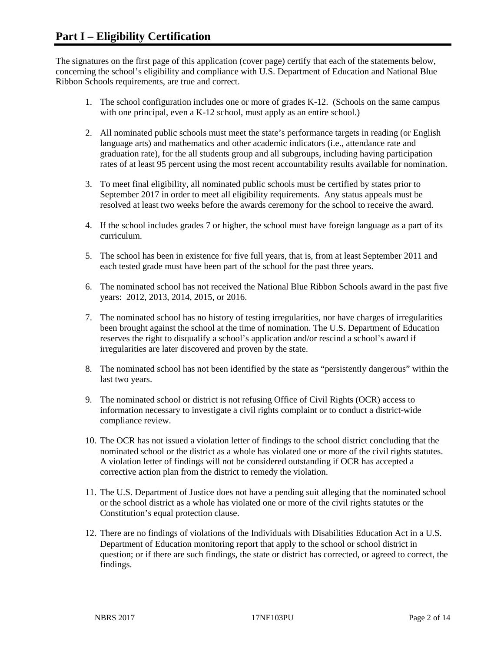The signatures on the first page of this application (cover page) certify that each of the statements below, concerning the school's eligibility and compliance with U.S. Department of Education and National Blue Ribbon Schools requirements, are true and correct.

- 1. The school configuration includes one or more of grades K-12. (Schools on the same campus with one principal, even a K-12 school, must apply as an entire school.)
- 2. All nominated public schools must meet the state's performance targets in reading (or English language arts) and mathematics and other academic indicators (i.e., attendance rate and graduation rate), for the all students group and all subgroups, including having participation rates of at least 95 percent using the most recent accountability results available for nomination.
- 3. To meet final eligibility, all nominated public schools must be certified by states prior to September 2017 in order to meet all eligibility requirements. Any status appeals must be resolved at least two weeks before the awards ceremony for the school to receive the award.
- 4. If the school includes grades 7 or higher, the school must have foreign language as a part of its curriculum.
- 5. The school has been in existence for five full years, that is, from at least September 2011 and each tested grade must have been part of the school for the past three years.
- 6. The nominated school has not received the National Blue Ribbon Schools award in the past five years: 2012, 2013, 2014, 2015, or 2016.
- 7. The nominated school has no history of testing irregularities, nor have charges of irregularities been brought against the school at the time of nomination. The U.S. Department of Education reserves the right to disqualify a school's application and/or rescind a school's award if irregularities are later discovered and proven by the state.
- 8. The nominated school has not been identified by the state as "persistently dangerous" within the last two years.
- 9. The nominated school or district is not refusing Office of Civil Rights (OCR) access to information necessary to investigate a civil rights complaint or to conduct a district-wide compliance review.
- 10. The OCR has not issued a violation letter of findings to the school district concluding that the nominated school or the district as a whole has violated one or more of the civil rights statutes. A violation letter of findings will not be considered outstanding if OCR has accepted a corrective action plan from the district to remedy the violation.
- 11. The U.S. Department of Justice does not have a pending suit alleging that the nominated school or the school district as a whole has violated one or more of the civil rights statutes or the Constitution's equal protection clause.
- 12. There are no findings of violations of the Individuals with Disabilities Education Act in a U.S. Department of Education monitoring report that apply to the school or school district in question; or if there are such findings, the state or district has corrected, or agreed to correct, the findings.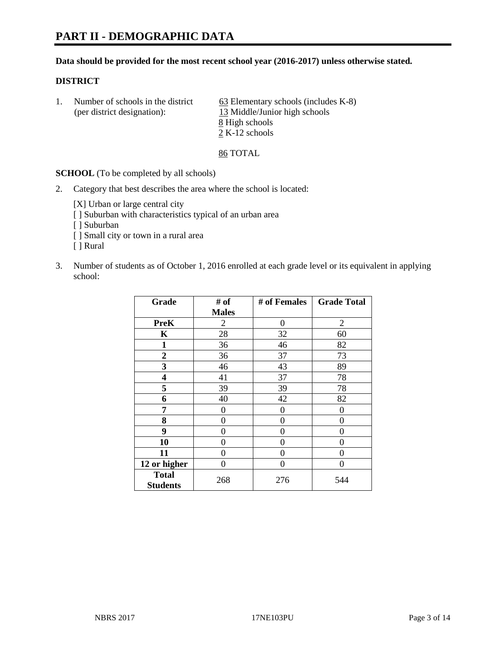# **PART II - DEMOGRAPHIC DATA**

#### **Data should be provided for the most recent school year (2016-2017) unless otherwise stated.**

#### **DISTRICT**

1. Number of schools in the district  $\qquad 63$  Elementary schools (includes K-8) (per district designation): 13 Middle/Junior high schools 8 High schools 2 K-12 schools

86 TOTAL

**SCHOOL** (To be completed by all schools)

2. Category that best describes the area where the school is located:

[X] Urban or large central city [ ] Suburban with characteristics typical of an urban area [ ] Suburban

- [ ] Small city or town in a rural area
- [ ] Rural
- 3. Number of students as of October 1, 2016 enrolled at each grade level or its equivalent in applying school:

| Grade                           | # of           | # of Females | <b>Grade Total</b> |
|---------------------------------|----------------|--------------|--------------------|
|                                 | <b>Males</b>   |              |                    |
| <b>PreK</b>                     | $\overline{2}$ | 0            | $\overline{2}$     |
| $\mathbf K$                     | 28             | 32           | 60                 |
| $\mathbf{1}$                    | 36             | 46           | 82                 |
| $\overline{2}$                  | 36             | 37           | 73                 |
| 3                               | 46             | 43           | 89                 |
| 4                               | 41             | 37           | 78                 |
| 5                               | 39             | 39           | 78                 |
| 6                               | 40             | 42           | 82                 |
| 7                               | $\theta$       | 0            | 0                  |
| 8                               | $\theta$       | $\theta$     | 0                  |
| 9                               | 0              | 0            | 0                  |
| 10                              | $\theta$       | 0            | 0                  |
| 11                              | 0              | 0            | 0                  |
| 12 or higher                    | 0              | 0            | $\theta$           |
| <b>Total</b><br><b>Students</b> | 268            | 276          | 544                |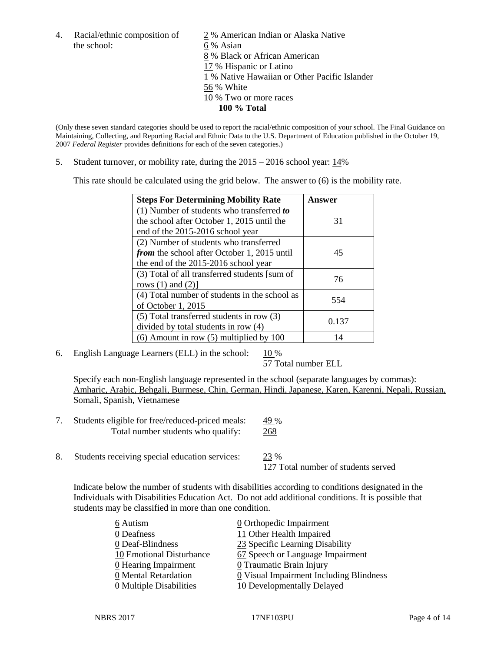the school: 6 % Asian

4. Racial/ethnic composition of  $\frac{2}{9}$ % American Indian or Alaska Native 8 % Black or African American 17 % Hispanic or Latino 1 % Native Hawaiian or Other Pacific Islander 56 % White 10 % Two or more races **100 % Total**

(Only these seven standard categories should be used to report the racial/ethnic composition of your school. The Final Guidance on Maintaining, Collecting, and Reporting Racial and Ethnic Data to the U.S. Department of Education published in the October 19, 2007 *Federal Register* provides definitions for each of the seven categories.)

5. Student turnover, or mobility rate, during the 2015 – 2016 school year: 14%

This rate should be calculated using the grid below. The answer to (6) is the mobility rate.

| <b>Steps For Determining Mobility Rate</b>    | Answer |  |
|-----------------------------------------------|--------|--|
| (1) Number of students who transferred to     |        |  |
| the school after October 1, 2015 until the    | 31     |  |
| end of the 2015-2016 school year              |        |  |
| (2) Number of students who transferred        |        |  |
| from the school after October 1, 2015 until   | 45     |  |
| the end of the 2015-2016 school year          |        |  |
| (3) Total of all transferred students [sum of | 76     |  |
| rows $(1)$ and $(2)$ ]                        |        |  |
| (4) Total number of students in the school as | 554    |  |
| of October 1, 2015                            |        |  |
| $(5)$ Total transferred students in row $(3)$ | 0.137  |  |
| divided by total students in row (4)          |        |  |
| $(6)$ Amount in row $(5)$ multiplied by 100   | 14     |  |

6. English Language Learners (ELL) in the school:  $10\%$ 

57 Total number ELL

Specify each non-English language represented in the school (separate languages by commas): Amharic, Arabic, Behgali, Burmese, Chin, German, Hindi, Japanese, Karen, Karenni, Nepali, Russian, Somali, Spanish, Vietnamese

| Students eligible for free/reduced-priced meals: | 49 % |
|--------------------------------------------------|------|
| Total number students who qualify:               | 268  |

8. Students receiving special education services: 23 % 127 Total number of students served

Indicate below the number of students with disabilities according to conditions designated in the Individuals with Disabilities Education Act. Do not add additional conditions. It is possible that students may be classified in more than one condition.

| 6 Autism                              | 0 Orthopedic Impairment                               |
|---------------------------------------|-------------------------------------------------------|
| 0 Deafness                            | 11 Other Health Impaired                              |
| 0 Deaf-Blindness                      | 23 Specific Learning Disability                       |
| 10 Emotional Disturbance              | 67 Speech or Language Impairment                      |
| 0 Hearing Impairment                  | 0 Traumatic Brain Injury                              |
| 0 Mental Retardation                  | $\underline{0}$ Visual Impairment Including Blindness |
| $\underline{0}$ Multiple Disabilities | 10 Developmentally Delayed                            |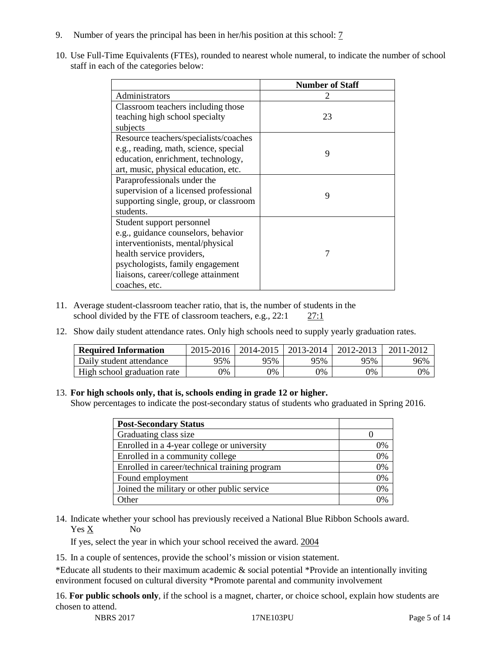- 9. Number of years the principal has been in her/his position at this school: 7
- 10. Use Full-Time Equivalents (FTEs), rounded to nearest whole numeral, to indicate the number of school staff in each of the categories below:

|                                        | <b>Number of Staff</b> |
|----------------------------------------|------------------------|
| Administrators                         |                        |
| Classroom teachers including those     |                        |
| teaching high school specialty         | 23                     |
| subjects                               |                        |
| Resource teachers/specialists/coaches  |                        |
| e.g., reading, math, science, special  | 9                      |
| education, enrichment, technology,     |                        |
| art, music, physical education, etc.   |                        |
| Paraprofessionals under the            |                        |
| supervision of a licensed professional | 9                      |
| supporting single, group, or classroom |                        |
| students.                              |                        |
| Student support personnel              |                        |
| e.g., guidance counselors, behavior    |                        |
| interventionists, mental/physical      |                        |
| health service providers,              | 7                      |
| psychologists, family engagement       |                        |
| liaisons, career/college attainment    |                        |
| coaches, etc.                          |                        |

- 11. Average student-classroom teacher ratio, that is, the number of students in the school divided by the FTE of classroom teachers, e.g., 22:1 27:1
- 12. Show daily student attendance rates. Only high schools need to supply yearly graduation rates.

| <b>Required Information</b> | 2015-2016 | 2014-2015 | 2013-2014 | 2012-2013 |     |
|-----------------------------|-----------|-----------|-----------|-----------|-----|
| Daily student attendance    | 95%       | 95%       | 95%       | 95%       | 96% |
| High school graduation rate | 0%        | 0%        | 0%        | 9%        | 0%  |

#### 13. **For high schools only, that is, schools ending in grade 12 or higher.**

Show percentages to indicate the post-secondary status of students who graduated in Spring 2016.

| <b>Post-Secondary Status</b>                  |    |
|-----------------------------------------------|----|
| Graduating class size                         |    |
| Enrolled in a 4-year college or university    | 0% |
| Enrolled in a community college               | 0% |
| Enrolled in career/technical training program | 0% |
| Found employment                              | 0% |
| Joined the military or other public service   | 0% |
| )ther                                         |    |

14. Indicate whether your school has previously received a National Blue Ribbon Schools award. Yes X No

If yes, select the year in which your school received the award. 2004

15. In a couple of sentences, provide the school's mission or vision statement.

\*Educate all students to their maximum academic & social potential \*Provide an intentionally inviting environment focused on cultural diversity \*Promote parental and community involvement

16. **For public schools only**, if the school is a magnet, charter, or choice school, explain how students are chosen to attend.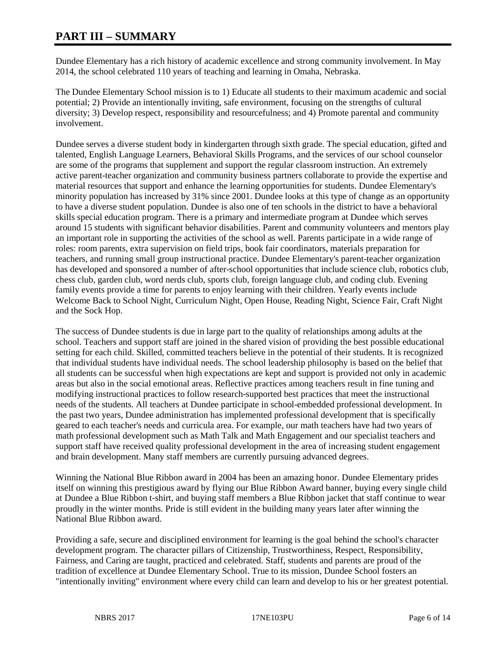# **PART III – SUMMARY**

Dundee Elementary has a rich history of academic excellence and strong community involvement. In May 2014, the school celebrated 110 years of teaching and learning in Omaha, Nebraska.

The Dundee Elementary School mission is to 1) Educate all students to their maximum academic and social potential; 2) Provide an intentionally inviting, safe environment, focusing on the strengths of cultural diversity; 3) Develop respect, responsibility and resourcefulness; and 4) Promote parental and community involvement.

Dundee serves a diverse student body in kindergarten through sixth grade. The special education, gifted and talented, English Language Learners, Behavioral Skills Programs, and the services of our school counselor are some of the programs that supplement and support the regular classroom instruction. An extremely active parent-teacher organization and community business partners collaborate to provide the expertise and material resources that support and enhance the learning opportunities for students. Dundee Elementary's minority population has increased by 31% since 2001. Dundee looks at this type of change as an opportunity to have a diverse student population. Dundee is also one of ten schools in the district to have a behavioral skills special education program. There is a primary and intermediate program at Dundee which serves around 15 students with significant behavior disabilities. Parent and community volunteers and mentors play an important role in supporting the activities of the school as well. Parents participate in a wide range of roles: room parents, extra supervision on field trips, book fair coordinators, materials preparation for teachers, and running small group instructional practice. Dundee Elementary's parent-teacher organization has developed and sponsored a number of after-school opportunities that include science club, robotics club, chess club, garden club, word nerds club, sports club, foreign language club, and coding club. Evening family events provide a time for parents to enjoy learning with their children. Yearly events include Welcome Back to School Night, Curriculum Night, Open House, Reading Night, Science Fair, Craft Night and the Sock Hop.

The success of Dundee students is due in large part to the quality of relationships among adults at the school. Teachers and support staff are joined in the shared vision of providing the best possible educational setting for each child. Skilled, committed teachers believe in the potential of their students. It is recognized that individual students have individual needs. The school leadership philosophy is based on the belief that all students can be successful when high expectations are kept and support is provided not only in academic areas but also in the social emotional areas. Reflective practices among teachers result in fine tuning and modifying instructional practices to follow research-supported best practices that meet the instructional needs of the students. All teachers at Dundee participate in school-embedded professional development. In the past two years, Dundee administration has implemented professional development that is specifically geared to each teacher's needs and curricula area. For example, our math teachers have had two years of math professional development such as Math Talk and Math Engagement and our specialist teachers and support staff have received quality professional development in the area of increasing student engagement and brain development. Many staff members are currently pursuing advanced degrees.

Winning the National Blue Ribbon award in 2004 has been an amazing honor. Dundee Elementary prides itself on winning this prestigious award by flying our Blue Ribbon Award banner, buying every single child at Dundee a Blue Ribbon t-shirt, and buying staff members a Blue Ribbon jacket that staff continue to wear proudly in the winter months. Pride is still evident in the building many years later after winning the National Blue Ribbon award.

Providing a safe, secure and disciplined environment for learning is the goal behind the school's character development program. The character pillars of Citizenship, Trustworthiness, Respect, Responsibility, Fairness, and Caring are taught, practiced and celebrated. Staff, students and parents are proud of the tradition of excellence at Dundee Elementary School. True to its mission, Dundee School fosters an "intentionally inviting" environment where every child can learn and develop to his or her greatest potential.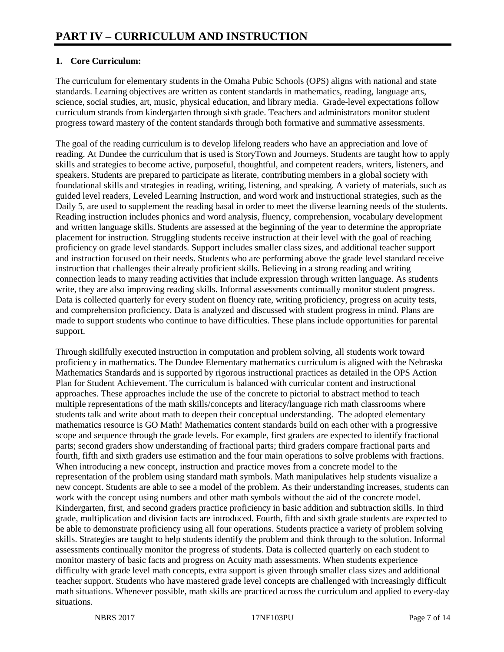## **1. Core Curriculum:**

The curriculum for elementary students in the Omaha Pubic Schools (OPS) aligns with national and state standards. Learning objectives are written as content standards in mathematics, reading, language arts, science, social studies, art, music, physical education, and library media. Grade-level expectations follow curriculum strands from kindergarten through sixth grade. Teachers and administrators monitor student progress toward mastery of the content standards through both formative and summative assessments.

The goal of the reading curriculum is to develop lifelong readers who have an appreciation and love of reading. At Dundee the curriculum that is used is StoryTown and Journeys. Students are taught how to apply skills and strategies to become active, purposeful, thoughtful, and competent readers, writers, listeners, and speakers. Students are prepared to participate as literate, contributing members in a global society with foundational skills and strategies in reading, writing, listening, and speaking. A variety of materials, such as guided level readers, Leveled Learning Instruction, and word work and instructional strategies, such as the Daily 5, are used to supplement the reading basal in order to meet the diverse learning needs of the students. Reading instruction includes phonics and word analysis, fluency, comprehension, vocabulary development and written language skills. Students are assessed at the beginning of the year to determine the appropriate placement for instruction. Struggling students receive instruction at their level with the goal of reaching proficiency on grade level standards. Support includes smaller class sizes, and additional teacher support and instruction focused on their needs. Students who are performing above the grade level standard receive instruction that challenges their already proficient skills. Believing in a strong reading and writing connection leads to many reading activities that include expression through written language. As students write, they are also improving reading skills. Informal assessments continually monitor student progress. Data is collected quarterly for every student on fluency rate, writing proficiency, progress on acuity tests, and comprehension proficiency. Data is analyzed and discussed with student progress in mind. Plans are made to support students who continue to have difficulties. These plans include opportunities for parental support.

Through skillfully executed instruction in computation and problem solving, all students work toward proficiency in mathematics. The Dundee Elementary mathematics curriculum is aligned with the Nebraska Mathematics Standards and is supported by rigorous instructional practices as detailed in the OPS Action Plan for Student Achievement. The curriculum is balanced with curricular content and instructional approaches. These approaches include the use of the concrete to pictorial to abstract method to teach multiple representations of the math skills/concepts and literacy/language rich math classrooms where students talk and write about math to deepen their conceptual understanding. The adopted elementary mathematics resource is GO Math! Mathematics content standards build on each other with a progressive scope and sequence through the grade levels. For example, first graders are expected to identify fractional parts; second graders show understanding of fractional parts; third graders compare fractional parts and fourth, fifth and sixth graders use estimation and the four main operations to solve problems with fractions. When introducing a new concept, instruction and practice moves from a concrete model to the representation of the problem using standard math symbols. Math manipulatives help students visualize a new concept. Students are able to see a model of the problem. As their understanding increases, students can work with the concept using numbers and other math symbols without the aid of the concrete model. Kindergarten, first, and second graders practice proficiency in basic addition and subtraction skills. In third grade, multiplication and division facts are introduced. Fourth, fifth and sixth grade students are expected to be able to demonstrate proficiency using all four operations. Students practice a variety of problem solving skills. Strategies are taught to help students identify the problem and think through to the solution. Informal assessments continually monitor the progress of students. Data is collected quarterly on each student to monitor mastery of basic facts and progress on Acuity math assessments. When students experience difficulty with grade level math concepts, extra support is given through smaller class sizes and additional teacher support. Students who have mastered grade level concepts are challenged with increasingly difficult math situations. Whenever possible, math skills are practiced across the curriculum and applied to every-day situations.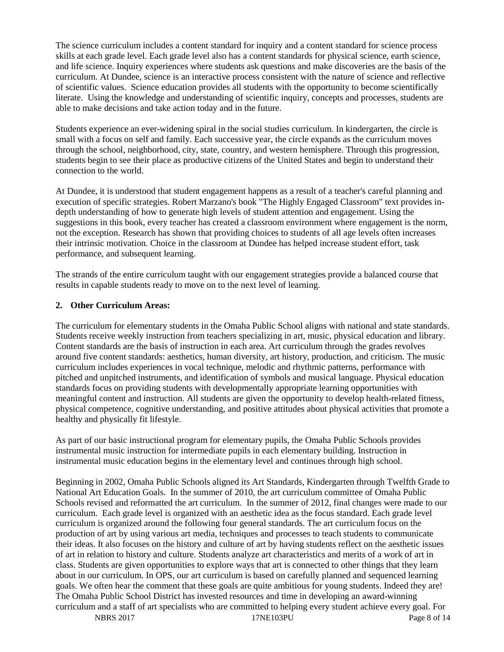The science curriculum includes a content standard for inquiry and a content standard for science process skills at each grade level. Each grade level also has a content standards for physical science, earth science, and life science. Inquiry experiences where students ask questions and make discoveries are the basis of the curriculum. At Dundee, science is an interactive process consistent with the nature of science and reflective of scientific values. Science education provides all students with the opportunity to become scientifically literate. Using the knowledge and understanding of scientific inquiry, concepts and processes, students are able to make decisions and take action today and in the future.

Students experience an ever-widening spiral in the social studies curriculum. In kindergarten, the circle is small with a focus on self and family. Each successive year, the circle expands as the curriculum moves through the school, neighborhood, city, state, country, and western hemisphere. Through this progression, students begin to see their place as productive citizens of the United States and begin to understand their connection to the world.

At Dundee, it is understood that student engagement happens as a result of a teacher's careful planning and execution of specific strategies. Robert Marzano's book "The Highly Engaged Classroom" text provides indepth understanding of how to generate high levels of student attention and engagement. Using the suggestions in this book, every teacher has created a classroom environment where engagement is the norm, not the exception. Research has shown that providing choices to students of all age levels often increases their intrinsic motivation. Choice in the classroom at Dundee has helped increase student effort, task performance, and subsequent learning.

The strands of the entire curriculum taught with our engagement strategies provide a balanced course that results in capable students ready to move on to the next level of learning.

#### **2. Other Curriculum Areas:**

The curriculum for elementary students in the Omaha Public School aligns with national and state standards. Students receive weekly instruction from teachers specializing in art, music, physical education and library. Content standards are the basis of instruction in each area. Art curriculum through the grades revolves around five content standards: aesthetics, human diversity, art history, production, and criticism. The music curriculum includes experiences in vocal technique, melodic and rhythmic patterns, performance with pitched and unpitched instruments, and identification of symbols and musical language. Physical education standards focus on providing students with developmentally appropriate learning opportunities with meaningful content and instruction. All students are given the opportunity to develop health-related fitness, physical competence, cognitive understanding, and positive attitudes about physical activities that promote a healthy and physically fit lifestyle.

As part of our basic instructional program for elementary pupils, the Omaha Public Schools provides instrumental music instruction for intermediate pupils in each elementary building. Instruction in instrumental music education begins in the elementary level and continues through high school.

Beginning in 2002, Omaha Public Schools aligned its Art Standards, Kindergarten through Twelfth Grade to National Art Education Goals. In the summer of 2010, the art curriculum committee of Omaha Public Schools revised and reformatted the art curriculum. In the summer of 2012, final changes were made to our curriculum. Each grade level is organized with an aesthetic idea as the focus standard. Each grade level curriculum is organized around the following four general standards. The art curriculum focus on the production of art by using various art media, techniques and processes to teach students to communicate their ideas. It also focuses on the history and culture of art by having students reflect on the aesthetic issues of art in relation to history and culture. Students analyze art characteristics and merits of a work of art in class. Students are given opportunities to explore ways that art is connected to other things that they learn about in our curriculum. In OPS, our art curriculum is based on carefully planned and sequenced learning goals. We often hear the comment that these goals are quite ambitious for young students. Indeed they are! The Omaha Public School District has invested resources and time in developing an award-winning curriculum and a staff of art specialists who are committed to helping every student achieve every goal. For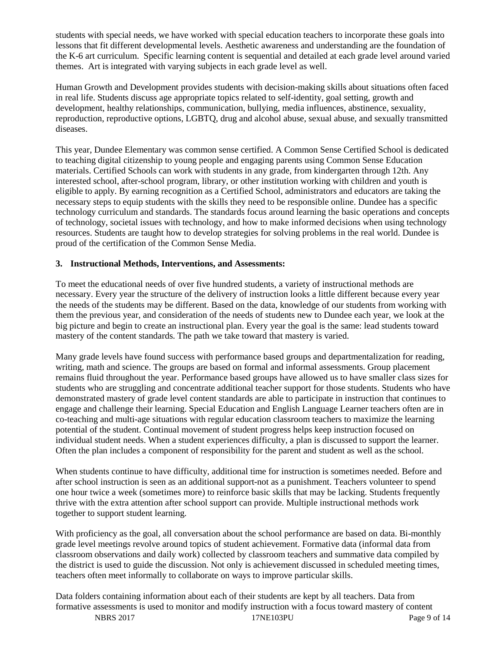students with special needs, we have worked with special education teachers to incorporate these goals into lessons that fit different developmental levels. Aesthetic awareness and understanding are the foundation of the K-6 art curriculum. Specific learning content is sequential and detailed at each grade level around varied themes. Art is integrated with varying subjects in each grade level as well.

Human Growth and Development provides students with decision-making skills about situations often faced in real life. Students discuss age appropriate topics related to self-identity, goal setting, growth and development, healthy relationships, communication, bullying, media influences, abstinence, sexuality, reproduction, reproductive options, LGBTQ, drug and alcohol abuse, sexual abuse, and sexually transmitted diseases.

This year, Dundee Elementary was common sense certified. A Common Sense Certified School is dedicated to teaching digital citizenship to young people and engaging parents using Common Sense Education materials. Certified Schools can work with students in any grade, from kindergarten through 12th. Any interested school, after-school program, library, or other institution working with children and youth is eligible to apply. By earning recognition as a Certified School, administrators and educators are taking the necessary steps to equip students with the skills they need to be responsible online. Dundee has a specific technology curriculum and standards. The standards focus around learning the basic operations and concepts of technology, societal issues with technology, and how to make informed decisions when using technology resources. Students are taught how to develop strategies for solving problems in the real world. Dundee is proud of the certification of the Common Sense Media.

#### **3. Instructional Methods, Interventions, and Assessments:**

To meet the educational needs of over five hundred students, a variety of instructional methods are necessary. Every year the structure of the delivery of instruction looks a little different because every year the needs of the students may be different. Based on the data, knowledge of our students from working with them the previous year, and consideration of the needs of students new to Dundee each year, we look at the big picture and begin to create an instructional plan. Every year the goal is the same: lead students toward mastery of the content standards. The path we take toward that mastery is varied.

Many grade levels have found success with performance based groups and departmentalization for reading, writing, math and science. The groups are based on formal and informal assessments. Group placement remains fluid throughout the year. Performance based groups have allowed us to have smaller class sizes for students who are struggling and concentrate additional teacher support for those students. Students who have demonstrated mastery of grade level content standards are able to participate in instruction that continues to engage and challenge their learning. Special Education and English Language Learner teachers often are in co-teaching and multi-age situations with regular education classroom teachers to maximize the learning potential of the student. Continual movement of student progress helps keep instruction focused on individual student needs. When a student experiences difficulty, a plan is discussed to support the learner. Often the plan includes a component of responsibility for the parent and student as well as the school.

When students continue to have difficulty, additional time for instruction is sometimes needed. Before and after school instruction is seen as an additional support-not as a punishment. Teachers volunteer to spend one hour twice a week (sometimes more) to reinforce basic skills that may be lacking. Students frequently thrive with the extra attention after school support can provide. Multiple instructional methods work together to support student learning.

With proficiency as the goal, all conversation about the school performance are based on data. Bi-monthly grade level meetings revolve around topics of student achievement. Formative data (informal data from classroom observations and daily work) collected by classroom teachers and summative data compiled by the district is used to guide the discussion. Not only is achievement discussed in scheduled meeting times, teachers often meet informally to collaborate on ways to improve particular skills.

Data folders containing information about each of their students are kept by all teachers. Data from formative assessments is used to monitor and modify instruction with a focus toward mastery of content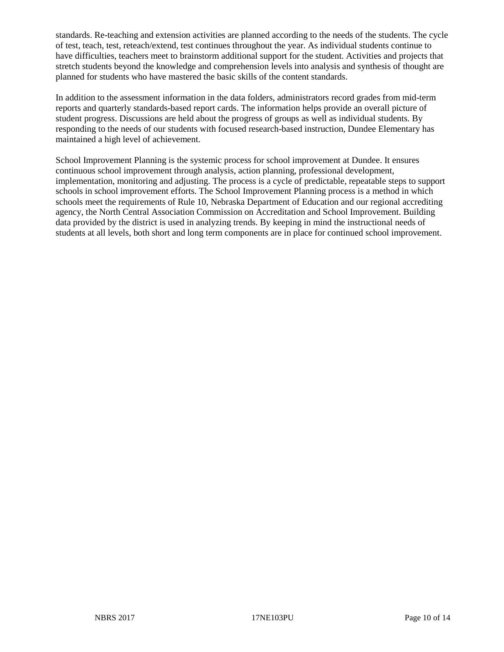standards. Re-teaching and extension activities are planned according to the needs of the students. The cycle of test, teach, test, reteach/extend, test continues throughout the year. As individual students continue to have difficulties, teachers meet to brainstorm additional support for the student. Activities and projects that stretch students beyond the knowledge and comprehension levels into analysis and synthesis of thought are planned for students who have mastered the basic skills of the content standards.

In addition to the assessment information in the data folders, administrators record grades from mid-term reports and quarterly standards-based report cards. The information helps provide an overall picture of student progress. Discussions are held about the progress of groups as well as individual students. By responding to the needs of our students with focused research-based instruction, Dundee Elementary has maintained a high level of achievement.

School Improvement Planning is the systemic process for school improvement at Dundee. It ensures continuous school improvement through analysis, action planning, professional development, implementation, monitoring and adjusting. The process is a cycle of predictable, repeatable steps to support schools in school improvement efforts. The School Improvement Planning process is a method in which schools meet the requirements of Rule 10, Nebraska Department of Education and our regional accrediting agency, the North Central Association Commission on Accreditation and School Improvement. Building data provided by the district is used in analyzing trends. By keeping in mind the instructional needs of students at all levels, both short and long term components are in place for continued school improvement.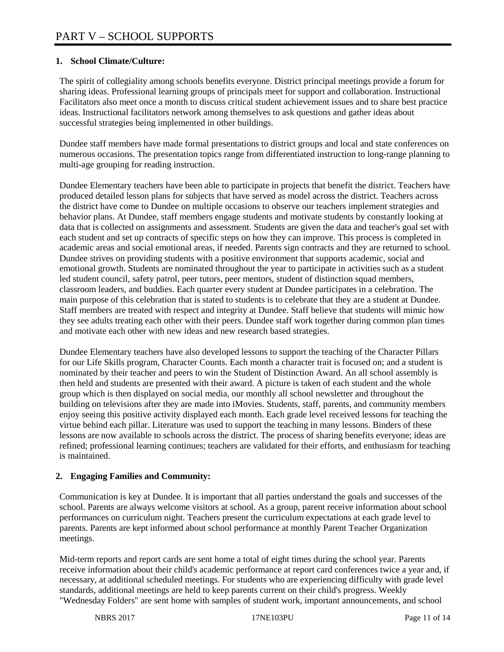## **1. School Climate/Culture:**

The spirit of collegiality among schools benefits everyone. District principal meetings provide a forum for sharing ideas. Professional learning groups of principals meet for support and collaboration. Instructional Facilitators also meet once a month to discuss critical student achievement issues and to share best practice ideas. Instructional facilitators network among themselves to ask questions and gather ideas about successful strategies being implemented in other buildings.

Dundee staff members have made formal presentations to district groups and local and state conferences on numerous occasions. The presentation topics range from differentiated instruction to long-range planning to multi-age grouping for reading instruction.

Dundee Elementary teachers have been able to participate in projects that benefit the district. Teachers have produced detailed lesson plans for subjects that have served as model across the district. Teachers across the district have come to Dundee on multiple occasions to observe our teachers implement strategies and behavior plans. At Dundee, staff members engage students and motivate students by constantly looking at data that is collected on assignments and assessment. Students are given the data and teacher's goal set with each student and set up contracts of specific steps on how they can improve. This process is completed in academic areas and social emotional areas, if needed. Parents sign contracts and they are returned to school. Dundee strives on providing students with a positive environment that supports academic, social and emotional growth. Students are nominated throughout the year to participate in activities such as a student led student council, safety patrol, peer tutors, peer mentors, student of distinction squad members, classroom leaders, and buddies. Each quarter every student at Dundee participates in a celebration. The main purpose of this celebration that is stated to students is to celebrate that they are a student at Dundee. Staff members are treated with respect and integrity at Dundee. Staff believe that students will mimic how they see adults treating each other with their peers. Dundee staff work together during common plan times and motivate each other with new ideas and new research based strategies.

Dundee Elementary teachers have also developed lessons to support the teaching of the Character Pillars for our Life Skills program, Character Counts. Each month a character trait is focused on; and a student is nominated by their teacher and peers to win the Student of Distinction Award. An all school assembly is then held and students are presented with their award. A picture is taken of each student and the whole group which is then displayed on social media, our monthly all school newsletter and throughout the building on televisions after they are made into iMovies. Students, staff, parents, and community members enjoy seeing this positive activity displayed each month. Each grade level received lessons for teaching the virtue behind each pillar. Literature was used to support the teaching in many lessons. Binders of these lessons are now available to schools across the district. The process of sharing benefits everyone; ideas are refined; professional learning continues; teachers are validated for their efforts, and enthusiasm for teaching is maintained.

## **2. Engaging Families and Community:**

Communication is key at Dundee. It is important that all parties understand the goals and successes of the school. Parents are always welcome visitors at school. As a group, parent receive information about school performances on curriculum night. Teachers present the curriculum expectations at each grade level to parents. Parents are kept informed about school performance at monthly Parent Teacher Organization meetings.

Mid-term reports and report cards are sent home a total of eight times during the school year. Parents receive information about their child's academic performance at report card conferences twice a year and, if necessary, at additional scheduled meetings. For students who are experiencing difficulty with grade level standards, additional meetings are held to keep parents current on their child's progress. Weekly "Wednesday Folders" are sent home with samples of student work, important announcements, and school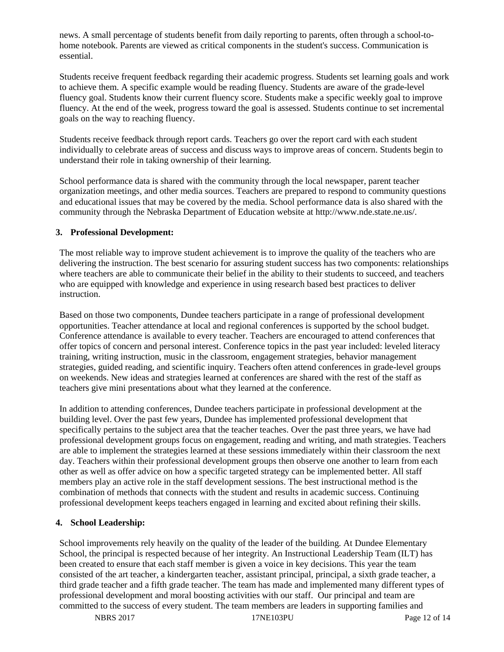news. A small percentage of students benefit from daily reporting to parents, often through a school-tohome notebook. Parents are viewed as critical components in the student's success. Communication is essential.

Students receive frequent feedback regarding their academic progress. Students set learning goals and work to achieve them. A specific example would be reading fluency. Students are aware of the grade-level fluency goal. Students know their current fluency score. Students make a specific weekly goal to improve fluency. At the end of the week, progress toward the goal is assessed. Students continue to set incremental goals on the way to reaching fluency.

Students receive feedback through report cards. Teachers go over the report card with each student individually to celebrate areas of success and discuss ways to improve areas of concern. Students begin to understand their role in taking ownership of their learning.

School performance data is shared with the community through the local newspaper, parent teacher organization meetings, and other media sources. Teachers are prepared to respond to community questions and educational issues that may be covered by the media. School performance data is also shared with the community through the Nebraska Department of Education website at http://www.nde.state.ne.us/.

#### **3. Professional Development:**

The most reliable way to improve student achievement is to improve the quality of the teachers who are delivering the instruction. The best scenario for assuring student success has two components: relationships where teachers are able to communicate their belief in the ability to their students to succeed, and teachers who are equipped with knowledge and experience in using research based best practices to deliver instruction.

Based on those two components, Dundee teachers participate in a range of professional development opportunities. Teacher attendance at local and regional conferences is supported by the school budget. Conference attendance is available to every teacher. Teachers are encouraged to attend conferences that offer topics of concern and personal interest. Conference topics in the past year included: leveled literacy training, writing instruction, music in the classroom, engagement strategies, behavior management strategies, guided reading, and scientific inquiry. Teachers often attend conferences in grade-level groups on weekends. New ideas and strategies learned at conferences are shared with the rest of the staff as teachers give mini presentations about what they learned at the conference.

In addition to attending conferences, Dundee teachers participate in professional development at the building level. Over the past few years, Dundee has implemented professional development that specifically pertains to the subject area that the teacher teaches. Over the past three years, we have had professional development groups focus on engagement, reading and writing, and math strategies. Teachers are able to implement the strategies learned at these sessions immediately within their classroom the next day. Teachers within their professional development groups then observe one another to learn from each other as well as offer advice on how a specific targeted strategy can be implemented better. All staff members play an active role in the staff development sessions. The best instructional method is the combination of methods that connects with the student and results in academic success. Continuing professional development keeps teachers engaged in learning and excited about refining their skills.

## **4. School Leadership:**

School improvements rely heavily on the quality of the leader of the building. At Dundee Elementary School, the principal is respected because of her integrity. An Instructional Leadership Team (ILT) has been created to ensure that each staff member is given a voice in key decisions. This year the team consisted of the art teacher, a kindergarten teacher, assistant principal, principal, a sixth grade teacher, a third grade teacher and a fifth grade teacher. The team has made and implemented many different types of professional development and moral boosting activities with our staff. Our principal and team are committed to the success of every student. The team members are leaders in supporting families and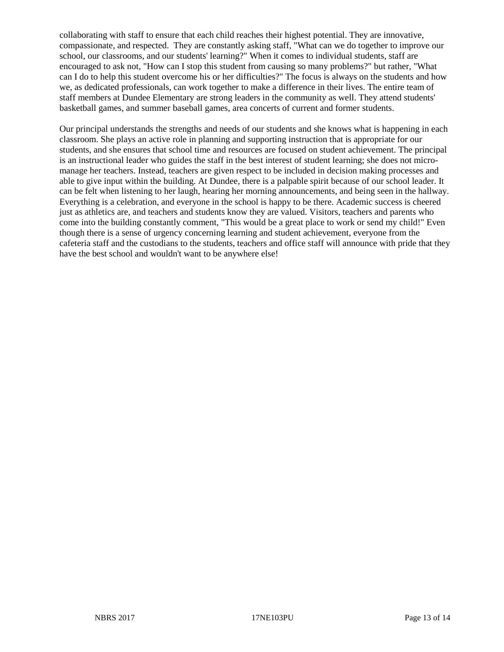collaborating with staff to ensure that each child reaches their highest potential. They are innovative, compassionate, and respected. They are constantly asking staff, "What can we do together to improve our school, our classrooms, and our students' learning?" When it comes to individual students, staff are encouraged to ask not, "How can I stop this student from causing so many problems?" but rather, "What can I do to help this student overcome his or her difficulties?" The focus is always on the students and how we, as dedicated professionals, can work together to make a difference in their lives. The entire team of staff members at Dundee Elementary are strong leaders in the community as well. They attend students' basketball games, and summer baseball games, area concerts of current and former students.

Our principal understands the strengths and needs of our students and she knows what is happening in each classroom. She plays an active role in planning and supporting instruction that is appropriate for our students, and she ensures that school time and resources are focused on student achievement. The principal is an instructional leader who guides the staff in the best interest of student learning; she does not micromanage her teachers. Instead, teachers are given respect to be included in decision making processes and able to give input within the building. At Dundee, there is a palpable spirit because of our school leader. It can be felt when listening to her laugh, hearing her morning announcements, and being seen in the hallway. Everything is a celebration, and everyone in the school is happy to be there. Academic success is cheered just as athletics are, and teachers and students know they are valued. Visitors, teachers and parents who come into the building constantly comment, "This would be a great place to work or send my child!" Even though there is a sense of urgency concerning learning and student achievement, everyone from the cafeteria staff and the custodians to the students, teachers and office staff will announce with pride that they have the best school and wouldn't want to be anywhere else!